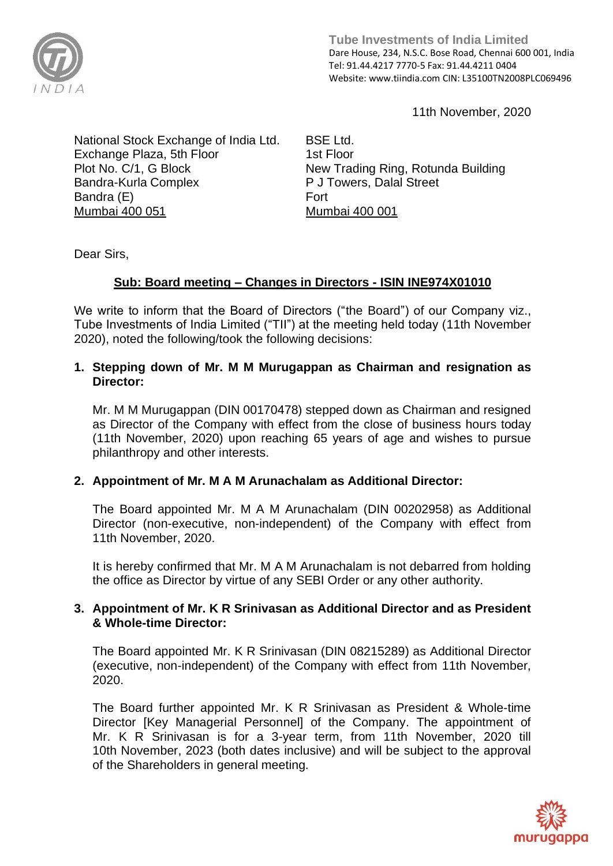

**Tube Investments of India Limited**  Dare House, 234, N.S.C. Bose Road, Chennai 600 001, India Tel: 91.44.4217 7770-5 Fax: 91.44.4211 0404 Website: www.tiindia.com CIN: L35100TN2008PLC069496

11th November, 2020

National Stock Exchange of India Ltd. Exchange Plaza, 5th Floor Plot No. C/1, G Block Bandra-Kurla Complex Bandra (E) Mumbai 400 051

BSE Ltd. 1st Floor New Trading Ring, Rotunda Building P J Towers, Dalal Street Fort Mumbai 400 001

Dear Sirs,

# **Sub: Board meeting – Changes in Directors - ISIN INE974X01010**

We write to inform that the Board of Directors ("the Board") of our Company viz., Tube Investments of India Limited ("TII") at the meeting held today (11th November 2020), noted the following/took the following decisions:

#### **1. Stepping down of Mr. M M Murugappan as Chairman and resignation as Director:**

Mr. M M Murugappan (DIN 00170478) stepped down as Chairman and resigned as Director of the Company with effect from the close of business hours today (11th November, 2020) upon reaching 65 years of age and wishes to pursue philanthropy and other interests.

# **2. Appointment of Mr. M A M Arunachalam as Additional Director:**

The Board appointed Mr. M A M Arunachalam (DIN 00202958) as Additional Director (non-executive, non-independent) of the Company with effect from 11th November, 2020.

It is hereby confirmed that Mr. M A M Arunachalam is not debarred from holding the office as Director by virtue of any SEBI Order or any other authority.

### **3. Appointment of Mr. K R Srinivasan as Additional Director and as President & Whole-time Director:**

The Board appointed Mr. K R Srinivasan (DIN 08215289) as Additional Director (executive, non-independent) of the Company with effect from 11th November, 2020.

The Board further appointed Mr. K R Srinivasan as President & Whole-time Director [Key Managerial Personnel] of the Company. The appointment of Mr. K R Srinivasan is for a 3-year term, from 11th November, 2020 till 10th November, 2023 (both dates inclusive) and will be subject to the approval of the Shareholders in general meeting.

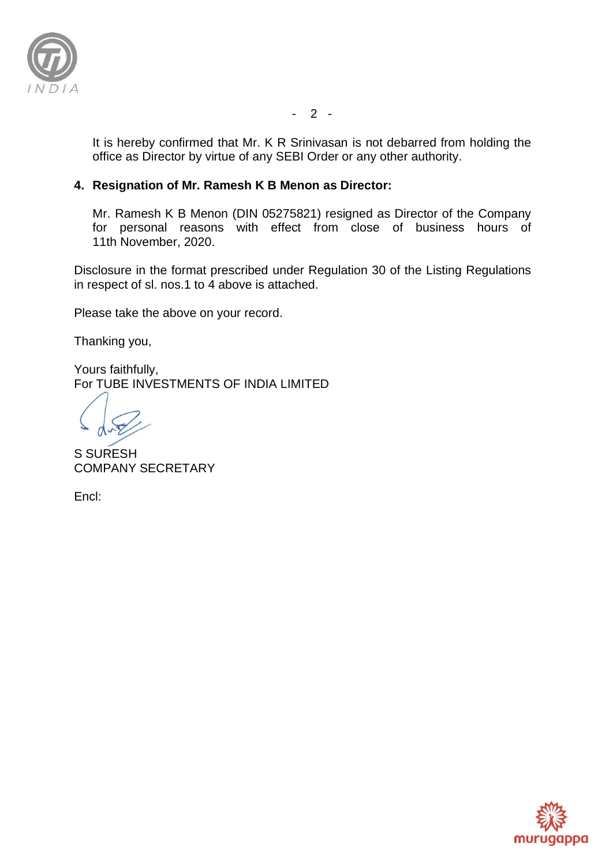

It is hereby confirmed that Mr. K R Srinivasan is not debarred from holding the office as Director by virtue of any SEBI Order or any other authority.

## **4. Resignation of Mr. Ramesh K B Menon as Director:**

Mr. Ramesh K B Menon (DIN 05275821) resigned as Director of the Company for personal reasons with effect from close of business hours of 11th November, 2020.

Disclosure in the format prescribed under Regulation 30 of the Listing Regulations in respect of sl. nos.1 to 4 above is attached.

Please take the above on your record.

Thanking you,

Yours faithfully, For TUBE INVESTMENTS OF INDIA LIMITED

S SURESH COMPANY SECRETARY

Encl:



- 2 -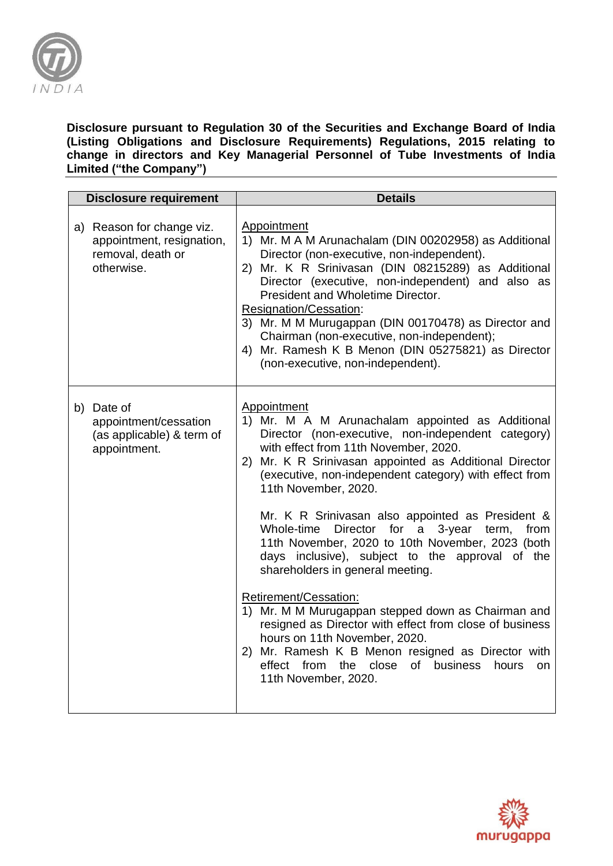

#### **Disclosure pursuant to Regulation 30 of the Securities and Exchange Board of India (Listing Obligations and Disclosure Requirements) Regulations, 2015 relating to change in directors and Key Managerial Personnel of Tube Investments of India Limited ("the Company")**

| <b>Disclosure requirement</b>                                                             | <b>Details</b>                                                                                                                                                                                                                                                                                                                                                                                                                                                                                                                                                                                                                                                                                                                                                                                                                                                                             |
|-------------------------------------------------------------------------------------------|--------------------------------------------------------------------------------------------------------------------------------------------------------------------------------------------------------------------------------------------------------------------------------------------------------------------------------------------------------------------------------------------------------------------------------------------------------------------------------------------------------------------------------------------------------------------------------------------------------------------------------------------------------------------------------------------------------------------------------------------------------------------------------------------------------------------------------------------------------------------------------------------|
| a) Reason for change viz.<br>appointment, resignation,<br>removal, death or<br>otherwise. | Appointment<br>1) Mr. M A M Arunachalam (DIN 00202958) as Additional<br>Director (non-executive, non-independent).<br>2) Mr. K R Srinivasan (DIN 08215289) as Additional<br>Director (executive, non-independent) and also as<br>President and Wholetime Director.<br>Resignation/Cessation:<br>3) Mr. M M Murugappan (DIN 00170478) as Director and<br>Chairman (non-executive, non-independent);<br>4) Mr. Ramesh K B Menon (DIN 05275821) as Director<br>(non-executive, non-independent).                                                                                                                                                                                                                                                                                                                                                                                              |
| b) Date of<br>appointment/cessation<br>(as applicable) & term of<br>appointment.          | Appointment<br>1) Mr. M A M Arunachalam appointed as Additional<br>Director (non-executive, non-independent category)<br>with effect from 11th November, 2020.<br>2) Mr. K R Srinivasan appointed as Additional Director<br>(executive, non-independent category) with effect from<br>11th November, 2020.<br>Mr. K R Srinivasan also appointed as President &<br>Whole-time<br>Director for<br>3-year<br>a<br>term,<br>from<br>11th November, 2020 to 10th November, 2023 (both<br>days inclusive), subject to the approval of the<br>shareholders in general meeting.<br>Retirement/Cessation:<br>1) Mr. M M Murugappan stepped down as Chairman and<br>resigned as Director with effect from close of business<br>hours on 11th November, 2020.<br>2) Mr. Ramesh K B Menon resigned as Director with<br>of business hours<br>effect from the close<br><b>on</b><br>11th November, 2020. |